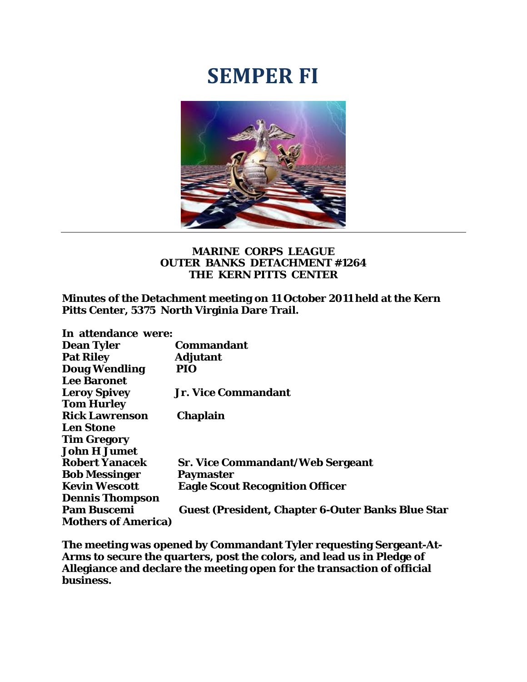## **SEMPER FI**



## **MARINE CORPS LEAGUE OUTER BANKS DETACHMENT #1264 THE KERN PITTS CENTER**

**Minutes of the Detachment meeting on 11 October 2011 held at the Kern Pitts Center, 5375 North Virginia Dare Trail.** 

| In attendance were:        |                                                          |
|----------------------------|----------------------------------------------------------|
| <b>Dean Tyler</b>          | <b>Commandant</b>                                        |
| <b>Pat Riley</b>           | <b>Adjutant</b>                                          |
| <b>Doug Wendling</b>       | PIO                                                      |
| <b>Lee Baronet</b>         |                                                          |
| <b>Leroy Spivey</b>        | <b>Jr. Vice Commandant</b>                               |
| <b>Tom Hurley</b>          |                                                          |
| <b>Rick Lawrenson</b>      | <b>Chaplain</b>                                          |
| <b>Len Stone</b>           |                                                          |
| <b>Tim Gregory</b>         |                                                          |
| <b>John H Jumet</b>        |                                                          |
| <b>Robert Yanacek</b>      | <b>Sr. Vice Commandant/Web Sergeant</b>                  |
| <b>Bob Messinger</b>       | Paymaster                                                |
| <b>Kevin Wescott</b>       | <b>Eagle Scout Recognition Officer</b>                   |
| <b>Dennis Thompson</b>     |                                                          |
| <b>Pam Buscemi</b>         | <b>Guest (President, Chapter 6-Outer Banks Blue Star</b> |
| <b>Mothers of America)</b> |                                                          |

**The meeting was opened by Commandant Tyler requesting Sergeant-At-Arms to secure the quarters, post the colors, and lead us in Pledge of Allegiance and declare the meeting open for the transaction of official business.**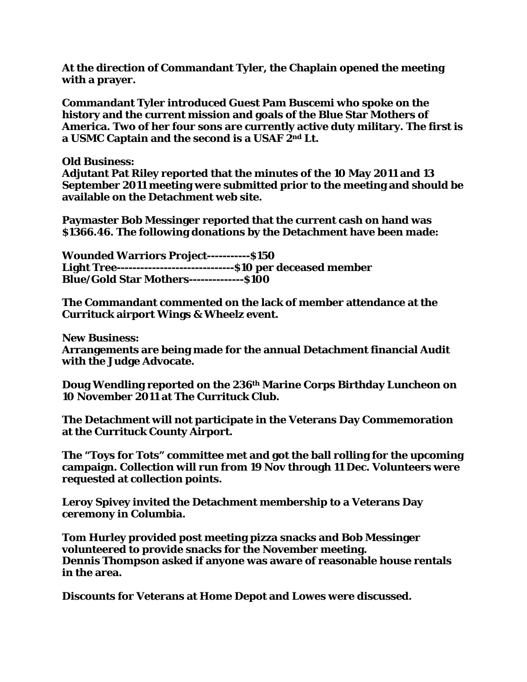**At the direction of Commandant Tyler, the Chaplain opened the meeting with a prayer.** 

**Commandant Tyler introduced Guest Pam Buscemi who spoke on the history and the current mission and goals of the Blue Star Mothers of America. Two of her four sons are currently active duty military. The first is a USMC Captain and the second is a USAF 2nd Lt.** 

**Old Business:** 

**Adjutant Pat Riley reported that the minutes of the 10 May 2011 and 13 September 2011 meeting were submitted prior to the meeting and should be available on the Detachment web site.** 

**Paymaster Bob Messinger reported that the current cash on hand was \$1366.46. The following donations by the Detachment have been made:** 

**Wounded Warriors Project-----------\$150 Light Tree------------------------------\$10 per deceased member Blue/Gold Star Mothers--------------\$100** 

**The Commandant commented on the lack of member attendance at the Currituck airport Wings & Wheelz event.** 

**New Business:** 

**Arrangements are being made for the annual Detachment financial Audit with the Judge Advocate.** 

**Doug Wendling reported on the 236th Marine Corps Birthday Luncheon on 10 November 2011 at The Currituck Club.** 

**The Detachment will not participate in the Veterans Day Commemoration at the Currituck County Airport.** 

**The "Toys for Tots" committee met and got the ball rolling for the upcoming campaign. Collection will run from 19 Nov through 11 Dec. Volunteers were requested at collection points.** 

**Leroy Spivey invited the Detachment membership to a Veterans Day ceremony in Columbia.** 

**Tom Hurley provided post meeting pizza snacks and Bob Messinger volunteered to provide snacks for the November meeting. Dennis Thompson asked if anyone was aware of reasonable house rentals in the area.** 

**Discounts for Veterans at Home Depot and Lowes were discussed.**